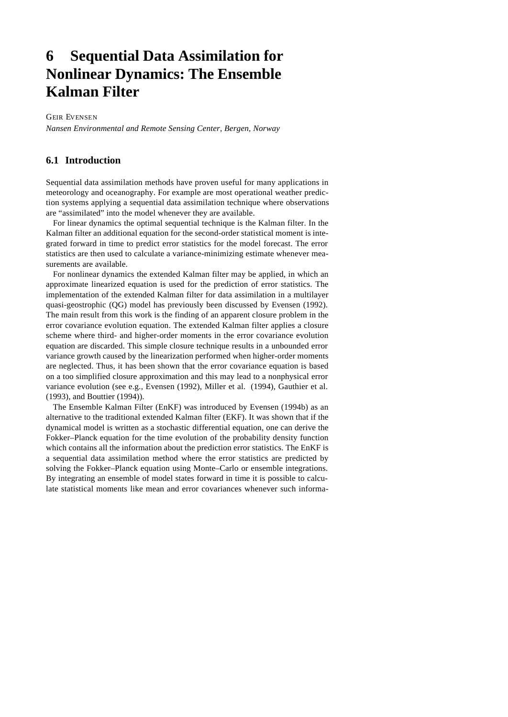# **6 Sequential Data Assimilation for Nonlinear Dynamics: The Ensemble Kalman Filter**

GEIR EVENSEN

*Nansen Environmental and Remote Sensing Center, Bergen, Norway*

### **6.1 Introduction**

Sequential data assimilation methods have proven useful for many applications in meteorology and oceanography. For example are most operational weather prediction systems applying a sequential data assimilation technique where observations are "assimilated" into the model whenever they are available.

For linear dynamics the optimal sequential technique is the Kalman filter. In the Kalman filter an additional equation for the second-order statistical moment is integrated forward in time to predict error statistics for the model forecast. The error statistics are then used to calculate a variance-minimizing estimate whenever measurements are available.

For nonlinear dynamics the extended Kalman filter may be applied, in which an approximate linearized equation is used for the prediction of error statistics. The implementation of the extended Kalman filter for data assimilation in a multilayer quasi-geostrophic (QG) model has previously been discussed by Evensen (1992). The main result from this work is the finding of an apparent closure problem in the error covariance evolution equation. The extended Kalman filter applies a closure scheme where third- and higher-order moments in the error covariance evolution equation are discarded. This simple closure technique results in a unbounded error variance growth caused by the linearization performed when higher-order moments are neglected. Thus, it has been shown that the error covariance equation is based on a too simplified closure approximation and this may lead to a nonphysical error variance evolution (see e.g., Evensen (1992), Miller et al. (1994), Gauthier et al. (1993), and Bouttier (1994)).

The Ensemble Kalman Filter (EnKF) was introduced by Evensen (1994b) as an alternative to the traditional extended Kalman filter (EKF). It was shown that if the dynamical model is written as a stochastic differential equation, one can derive the Fokker–Planck equation for the time evolution of the probability density function which contains all the information about the prediction error statistics. The EnKF is a sequential data assimilation method where the error statistics are predicted by solving the Fokker–Planck equation using Monte–Carlo or ensemble integrations. By integrating an ensemble of model states forward in time it is possible to calculate statistical moments like mean and error covariances whenever such informa-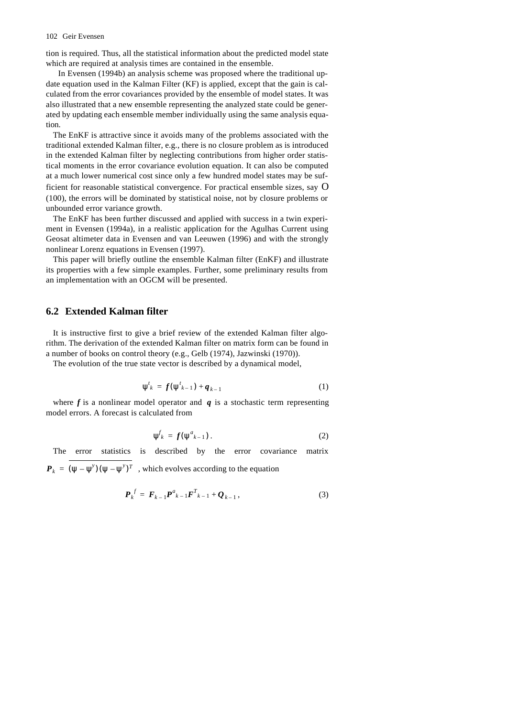tion is required. Thus, all the statistical information about the predicted model state which are required at analysis times are contained in the ensemble.

In Evensen (1994b) an analysis scheme was proposed where the traditional update equation used in the Kalman Filter (KF) is applied, except that the gain is calculated from the error covariances provided by the ensemble of model states. It was also illustrated that a new ensemble representing the analyzed state could be generated by updating each ensemble member individually using the same analysis equation.

The EnKF is attractive since it avoids many of the problems associated with the traditional extended Kalman filter, e.g., there is no closure problem as is introduced in the extended Kalman filter by neglecting contributions from higher order statistical moments in the error covariance evolution equation. It can also be computed at a much lower numerical cost since only a few hundred model states may be sufficient for reasonable statistical convergence. For practical ensemble sizes, say O (100), the errors will be dominated by statistical noise, not by closure problems or unbounded error variance growth.

The EnKF has been further discussed and applied with success in a twin experiment in Evensen (1994a), in a realistic application for the Agulhas Current using Geosat altimeter data in Evensen and van Leeuwen (1996) and with the strongly nonlinear Lorenz equations in Evensen (1997).

This paper will briefly outline the ensemble Kalman filter (EnKF) and illustrate its properties with a few simple examples. Further, some preliminary results from an implementation with an OGCM will be presented.

### **6.2 Extended Kalman filter**

It is instructive first to give a brief review of the extended Kalman filter algorithm. The derivation of the extended Kalman filter on matrix form can be found in a number of books on control theory (e.g., Gelb (1974), Jazwinski (1970)).

The evolution of the true state vector is described by a dynamical model,

$$
\psi^t_k = f(\psi^t_{k-1}) + q_{k-1}
$$
 (1)

where  $f$  is a nonlinear model operator and  $q$  is a stochastic term representing model errors. A forecast is calculated from

$$
\Psi^f_k = f(\Psi^a_{k-1}). \tag{2}
$$

The error statistics is described by the error covariance matrix  $P_k = (\psi - \psi^y)(\psi - \psi^y)^T$ , which evolves according to the equation

$$
\boldsymbol{P}_k^f = \boldsymbol{F}_{k-1} \boldsymbol{P}_{k-1}^a \boldsymbol{F}_{k-1}^T + \boldsymbol{Q}_{k-1},
$$
\n(3)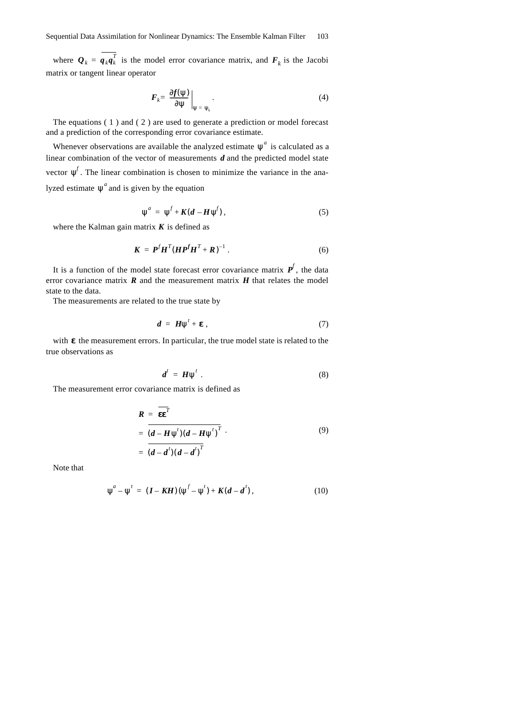where  $\boldsymbol{Q}_k = \boldsymbol{q}_k \boldsymbol{q}_k^T$  is the model error covariance matrix, and  $\boldsymbol{F}_k$  is the Jacobi matrix or tangent linear operator

$$
F_k = \left. \frac{\partial f(\psi)}{\partial \psi} \right|_{\psi = \psi_k} . \tag{4}
$$

The equations ( 1 ) and ( 2 ) are used to generate a prediction or model forecast and a prediction of the corresponding error covariance estimate.

Whenever observations are available the analyzed estimate  $\psi^a$  is calculated as a linear combination of the vector of measurements *d* and the predicted model state vector  $\psi^f$ . The linear combination is chosen to minimize the variance in the analyzed estimate  $\psi^a$  and is given by the equation

$$
\psi^a = \psi^f + K(d - H\psi^f), \qquad (5)
$$

where the Kalman gain matrix *K* is defined as

$$
\boldsymbol{K} = \boldsymbol{P}^f \boldsymbol{H}^T (\boldsymbol{H} \boldsymbol{P}^f \boldsymbol{H}^T + \boldsymbol{R})^{-1} \,. \tag{6}
$$

It is a function of the model state forecast error covariance matrix  $P^f$ , the data error covariance matrix  $\vec{R}$  and the measurement matrix  $\vec{H}$  that relates the model state to the data.

The measurements are related to the true state by

$$
d = H\psi^t + \mathbf{e},\tag{7}
$$

with  $\bullet$  the measurement errors. In particular, the true model state is related to the true observations as

$$
d^t = H \psi^t \ . \tag{8}
$$

The measurement error covariance matrix is defined as

$$
\mathbf{R} = \overline{\mathbf{e}^T}
$$
  
= 
$$
\overline{(d - H \psi') (d - H \psi')}^T
$$
  
= 
$$
\overline{(d - d') (d - d')^T}
$$
 (9)

Note that

$$
\psi^{a} - \psi^{t} = (I - KH)(\psi^{f} - \psi^{t}) + K(d - d^{t}), \qquad (10)
$$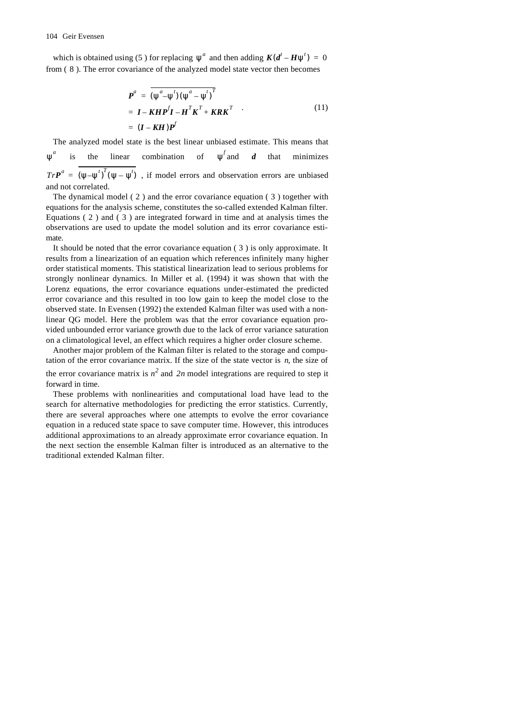which is obtained using (5) for replacing  $\psi^a$  and then adding  $K(d^t - H\psi^t) = 0$ from ( 8 ). The error covariance of the analyzed model state vector then becomes

$$
\begin{aligned} \boldsymbol{P}^{a} &= \overline{(\psi^{a} - \psi^{t})(\psi^{a} - \psi^{t})}^{T} \\ &= \boldsymbol{I} - \boldsymbol{K} \boldsymbol{H} \boldsymbol{P}^{f} \boldsymbol{I} - \boldsymbol{H}^{T} \boldsymbol{K}^{T} + \boldsymbol{K} \boldsymbol{R} \boldsymbol{K}^{T} \\ &= (\boldsymbol{I} - \boldsymbol{K} \boldsymbol{H}) \boldsymbol{P}^{f} \end{aligned} \tag{11}
$$

The analyzed model state is the best linear unbiased estimate. This means that is the linear combination of  $\psi^{\dagger}$  and *d* that minimizes  $TrP^a = (\psi - \psi^t)^T (\psi - \psi^t)$ , if model errors and observation errors are unbiased and not correlated.  $\psi^a$ ψ *f*

The dynamical model ( 2 ) and the error covariance equation ( 3 ) together with equations for the analysis scheme, constitutes the so-called extended Kalman filter. Equations ( 2 ) and ( 3 ) are integrated forward in time and at analysis times the observations are used to update the model solution and its error covariance estimate.

It should be noted that the error covariance equation ( 3 ) is only approximate. It results from a linearization of an equation which references infinitely many higher order statistical moments. This statistical linearization lead to serious problems for strongly nonlinear dynamics. In Miller et al. (1994) it was shown that with the Lorenz equations, the error covariance equations under-estimated the predicted error covariance and this resulted in too low gain to keep the model close to the observed state. In Evensen (1992) the extended Kalman filter was used with a nonlinear QG model. Here the problem was that the error covariance equation provided unbounded error variance growth due to the lack of error variance saturation on a climatological level, an effect which requires a higher order closure scheme.

Another major problem of the Kalman filter is related to the storage and computation of the error covariance matrix. If the size of the state vector is *n*, the size of the error covariance matrix is  $n^2$  and  $2n$  model integrations are required to step it forward in time.

These problems with nonlinearities and computational load have lead to the search for alternative methodologies for predicting the error statistics. Currently, there are several approaches where one attempts to evolve the error covariance equation in a reduced state space to save computer time. However, this introduces additional approximations to an already approximate error covariance equation. In the next section the ensemble Kalman filter is introduced as an alternative to the traditional extended Kalman filter.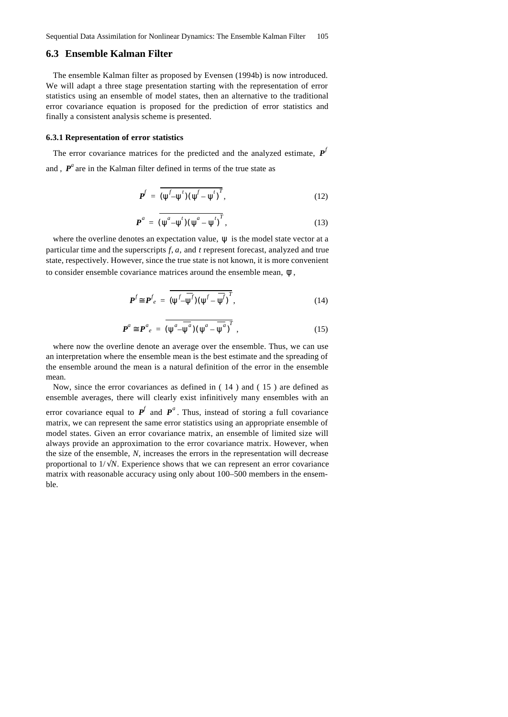## **6.3 Ensemble Kalman Filter**

The ensemble Kalman filter as proposed by Evensen (1994b) is now introduced. We will adapt a three stage presentation starting with the representation of error statistics using an ensemble of model states, then an alternative to the traditional error covariance equation is proposed for the prediction of error statistics and finally a consistent analysis scheme is presented.

### **6.3.1 Representation of error statistics**

The error covariance matrices for the predicted and the analyzed estimate,  $P<sup>j</sup>$ and,  $P^a$  are in the Kalman filter defined in terms of the true state as

$$
\boldsymbol{P}^f = \overline{(\boldsymbol{\psi}^f - \boldsymbol{\psi}^t)(\boldsymbol{\psi}^f - {\boldsymbol{\psi}^t})^T},\tag{12}
$$

$$
\boldsymbol{P}^{a} = \left(\psi^{a} - \psi^{t}\right)\left(\psi^{a} - \psi^{t}\right)^{T},\tag{13}
$$

where the overline denotes an expectation value,  $\psi$  is the model state vector at a particular time and the superscripts *f*, *a*, and *t* represent forecast, analyzed and true state, respectively. However, since the true state is not known, it is more convenient to consider ensemble covariance matrices around the ensemble mean,  $\overline{\Psi}$ ,

$$
\boldsymbol{P}^f \cong \boldsymbol{P}^f \circ \left( \overline{\psi^f} - \overline{\psi^f} \right) \left( \overline{\psi^f} - \overline{\psi^f} \right)^T, \tag{14}
$$

$$
\boldsymbol{P}^{a} \cong \boldsymbol{P}^{a}{}_{e} = \overline{(\psi^{a} - \overline{\psi}^{a})(\psi^{a} - \overline{\psi}^{a})^{T}} , \qquad (15)
$$

where now the overline denote an average over the ensemble. Thus, we can use an interpretation where the ensemble mean is the best estimate and the spreading of the ensemble around the mean is a natural definition of the error in the ensemble mean.

Now, since the error covariances as defined in ( 14 ) and ( 15 ) are defined as ensemble averages, there will clearly exist infinitively many ensembles with an error covariance equal to  $P^f$  and  $P^a$ . Thus, instead of storing a full covariance matrix, we can represent the same error statistics using an appropriate ensemble of model states. Given an error covariance matrix, an ensemble of limited size will always provide an approximation to the error covariance matrix. However, when the size of the ensemble, *N*, increases the errors in the representation will decrease proportional to  $1/\sqrt{N}$ . Experience shows that we can represent an error covariance matrix with reasonable accuracy using only about 100–500 members in the ensemble.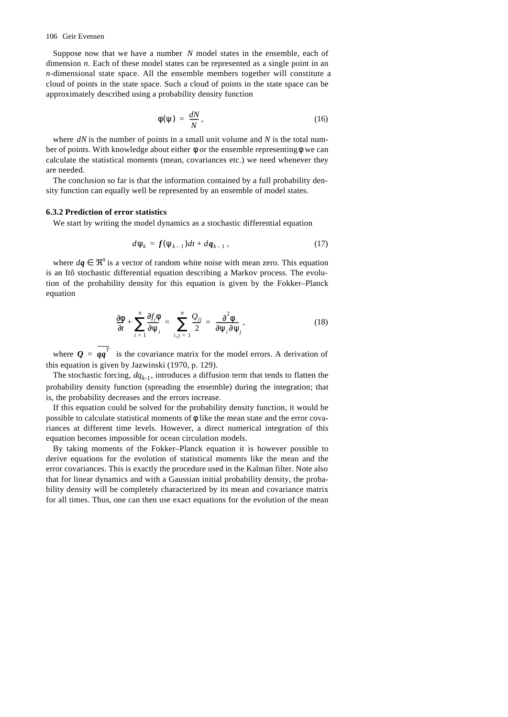Suppose now that we have a number *N* model states in the ensemble, each of dimension *n*. Each of these model states can be represented as a single point in an *n*-dimensional state space. All the ensemble members together will constitute a cloud of points in the state space. Such a cloud of points in the state space can be approximately described using a probability density function

$$
\phi(\psi) = \frac{dN}{N},\tag{16}
$$

where *dN* is the number of points in a small unit volume and *N* is the total number of points. With knowledge about either  $\phi$  or the ensemble representing  $\phi$  we can calculate the statistical moments (mean, covariances etc.) we need whenever they are needed.

The conclusion so far is that the information contained by a full probability density function can equally well be represented by an ensemble of model states.

### **6.3.2 Prediction of error statistics**

We start by writing the model dynamics as a stochastic differential equation

$$
d\psi_k = f(\psi_{k-1})dt + d\boldsymbol{q}_{k-1}, \qquad (17)
$$

where  $dq \in \mathbb{R}^n$  is a vector of random white noise with mean zero. This equation is an Itô stochastic differential equation describing a Markov process. The evolution of the probability density for this equation is given by the Fokker–Planck equation

$$
\frac{\partial \phi}{\partial t} + \sum_{i=1}^{n} \frac{\partial f_i \phi}{\partial \psi_i} = \sum_{i,j=1}^{n} \frac{Q_{ij}}{2} = \frac{\partial^2 \phi}{\partial \psi_i \partial \psi_j},
$$
(18)

where  $\boldsymbol{Q} = \boldsymbol{q}\boldsymbol{q}^T$  is the covariance matrix for the model errors. A derivation of this equation is given by Jazwinski (1970, p. 129).

The stochastic forcing,  $dq_{k-1}$ , introduces a diffusion term that tends to flatten the probability density function (spreading the ensemble) during the integration; that is, the probability decreases and the errors increase.

If this equation could be solved for the probability density function, it would be possible to calculate statistical moments of φ like the mean state and the error covariances at different time levels. However, a direct numerical integration of this equation becomes impossible for ocean circulation models.

By taking moments of the Fokker–Planck equation it is however possible to derive equations for the evolution of statistical moments like the mean and the error covariances. This is exactly the procedure used in the Kalman filter. Note also that for linear dynamics and with a Gaussian initial probability density, the probability density will be completely characterized by its mean and covariance matrix for all times. Thus, one can then use exact equations for the evolution of the mean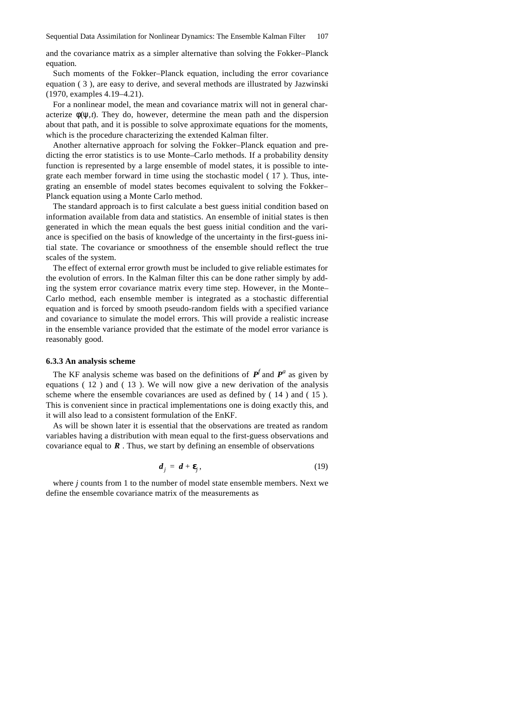and the covariance matrix as a simpler alternative than solving the Fokker–Planck equation.

Such moments of the Fokker–Planck equation, including the error covariance equation ( 3 ), are easy to derive, and several methods are illustrated by Jazwinski (1970, examples 4.19–4.21).

For a nonlinear model, the mean and covariance matrix will not in general characterize  $\phi(\psi,t)$ . They do, however, determine the mean path and the dispersion about that path, and it is possible to solve approximate equations for the moments, which is the procedure characterizing the extended Kalman filter.

Another alternative approach for solving the Fokker–Planck equation and predicting the error statistics is to use Monte–Carlo methods. If a probability density function is represented by a large ensemble of model states, it is possible to integrate each member forward in time using the stochastic model ( 17 ). Thus, integrating an ensemble of model states becomes equivalent to solving the Fokker– Planck equation using a Monte Carlo method.

The standard approach is to first calculate a best guess initial condition based on information available from data and statistics. An ensemble of initial states is then generated in which the mean equals the best guess initial condition and the variance is specified on the basis of knowledge of the uncertainty in the first-guess initial state. The covariance or smoothness of the ensemble should reflect the true scales of the system.

The effect of external error growth must be included to give reliable estimates for the evolution of errors. In the Kalman filter this can be done rather simply by adding the system error covariance matrix every time step. However, in the Monte– Carlo method, each ensemble member is integrated as a stochastic differential equation and is forced by smooth pseudo-random fields with a specified variance and covariance to simulate the model errors. This will provide a realistic increase in the ensemble variance provided that the estimate of the model error variance is reasonably good.

### **6.3.3 An analysis scheme**

The KF analysis scheme was based on the definitions of  $P^f$  and  $P^a$  as given by equations ( 12 ) and ( 13 ). We will now give a new derivation of the analysis scheme where the ensemble covariances are used as defined by ( 14 ) and ( 15 ). This is convenient since in practical implementations one is doing exactly this, and it will also lead to a consistent formulation of the EnKF.

As will be shown later it is essential that the observations are treated as random variables having a distribution with mean equal to the first-guess observations and covariance equal to *. Thus, we start by defining an ensemble of observations* 

$$
d_j = d + \mathbf{e}_j,\tag{19}
$$

where *j* counts from 1 to the number of model state ensemble members. Next we define the ensemble covariance matrix of the measurements as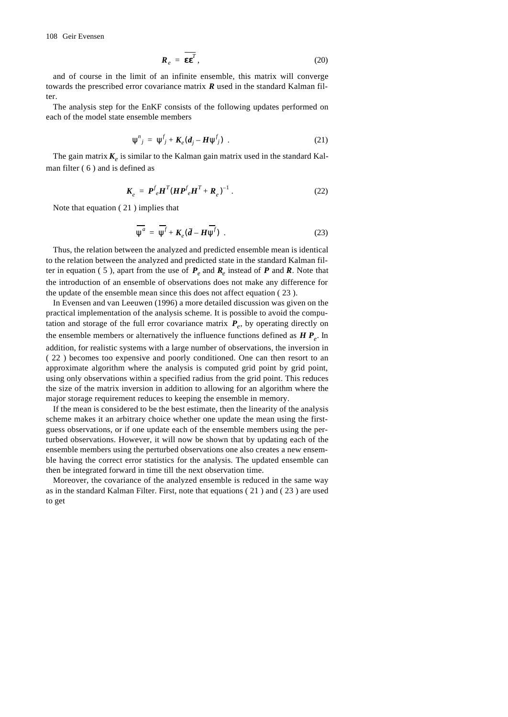$$
\boldsymbol{R}_e = \overline{\mathbf{ee}^T},\tag{20}
$$

and of course in the limit of an infinite ensemble, this matrix will converge towards the prescribed error covariance matrix *R* used in the standard Kalman filter.

The analysis step for the EnKF consists of the following updates performed on each of the model state ensemble members

$$
\psi''_j = \psi^f_j + K_e(d_j - H\psi^f_j) \tag{21}
$$

The gain matrix  $K_e$  is similar to the Kalman gain matrix used in the standard Kalman filter ( 6 ) and is defined as

$$
K_e = P^f{}_e H^T (H P^f{}_e H^T + R_e)^{-1} \,. \tag{22}
$$

Note that equation ( 21 ) implies that

$$
\overline{\psi}^a = \overline{\psi}^f + K_e(\overline{d} - H\overline{\psi}^f) \tag{23}
$$

Thus, the relation between the analyzed and predicted ensemble mean is identical to the relation between the analyzed and predicted state in the standard Kalman filter in equation (5), apart from the use of  $P_e$  and  $R_e$  instead of  $P$  and  $R$ . Note that the introduction of an ensemble of observations does not make any difference for the update of the ensemble mean since this does not affect equation ( 23 ).

In Evensen and van Leeuwen (1996) a more detailed discussion was given on the practical implementation of the analysis scheme. It is possible to avoid the computation and storage of the full error covariance matrix *P<sup>e</sup>* , by operating directly on the ensemble members or alternatively the influence functions defined as  $H P_e$ . In addition, for realistic systems with a large number of observations, the inversion in ( 22 ) becomes too expensive and poorly conditioned. One can then resort to an approximate algorithm where the analysis is computed grid point by grid point, using only observations within a specified radius from the grid point. This reduces the size of the matrix inversion in addition to allowing for an algorithm where the major storage requirement reduces to keeping the ensemble in memory.

If the mean is considered to be the best estimate, then the linearity of the analysis scheme makes it an arbitrary choice whether one update the mean using the firstguess observations, or if one update each of the ensemble members using the perturbed observations. However, it will now be shown that by updating each of the ensemble members using the perturbed observations one also creates a new ensemble having the correct error statistics for the analysis. The updated ensemble can then be integrated forward in time till the next observation time.

Moreover, the covariance of the analyzed ensemble is reduced in the same way as in the standard Kalman Filter. First, note that equations ( 21 ) and ( 23 ) are used to get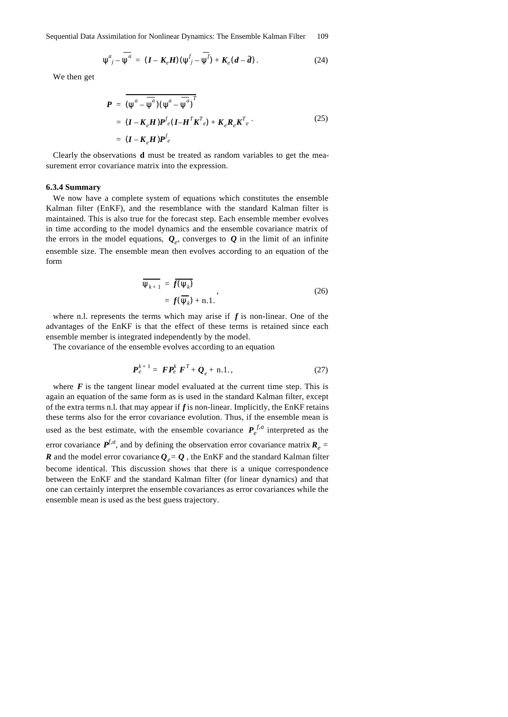Sequential Data Assimilation for Nonlinear Dynamics: The Ensemble Kalman Filter 109

$$
\Psi^a_{\ j} - \overline{\Psi^a} = (\boldsymbol{I} - \boldsymbol{K}_e \boldsymbol{H}) (\Psi^f_{\ j} - \overline{\Psi^f}) + \boldsymbol{K}_e (\boldsymbol{d} - \overline{\boldsymbol{d}}) \,. \tag{24}
$$

We then get

$$
P = \overline{(\psi^a - \overline{\psi^a})(\psi^a - \overline{\psi^a})^T}
$$
  
=  $(I - K_e H)P^f{}_e(I - H^T K^T{}_e) + K_e R_e K^T{}_e$  (25)  
=  $(I - K_e H)P^f{}_e$ 

Clearly the observations **d** must be treated as random variables to get the measurement error covariance matrix into the expression.

#### **6.3.4 Summary**

We now have a complete system of equations which constitutes the ensemble Kalman filter (EnKF), and the resemblance with the standard Kalman filter is maintained. This is also true for the forecast step. Each ensemble member evolves in time according to the model dynamics and the ensemble covariance matrix of the errors in the model equations,  $Q_e$ , converges to  $Q$  in the limit of an infinite ensemble size. The ensemble mean then evolves according to an equation of the form

$$
\overline{\Psi_{k+1}} = \overline{f(\Psi_k)}
$$
  
=  $f(\overline{\Psi_k}) + n.1$ . (26)

where n.l. represents the terms which may arise if *f* is non-linear. One of the advantages of the EnKF is that the effect of these terms is retained since each ensemble member is integrated independently by the model.

The covariance of the ensemble evolves according to an equation

$$
P_e^{k+1} = FP_e^k F^T + Q_e + n.1.,
$$
 (27)

where  $F$  is the tangent linear model evaluated at the current time step. This is again an equation of the same form as is used in the standard Kalman filter, except of the extra terms n.l. that may appear if *f* is non-linear. Implicitly, the EnKF retains these terms also for the error covariance evolution. Thus, if the ensemble mean is used as the best estimate, with the ensemble covariance  $P_e^{f,a}$  interpreted as the error covariance  $P^{f,a}$ , and by defining the observation error covariance matrix  $R_e$  = *R* and the model error covariance  $Q_e = Q$ , the EnKF and the standard Kalman filter become identical. This discussion shows that there is a unique correspondence between the EnKF and the standard Kalman filter (for linear dynamics) and that one can certainly interpret the ensemble covariances as error covariances while the ensemble mean is used as the best guess trajectory.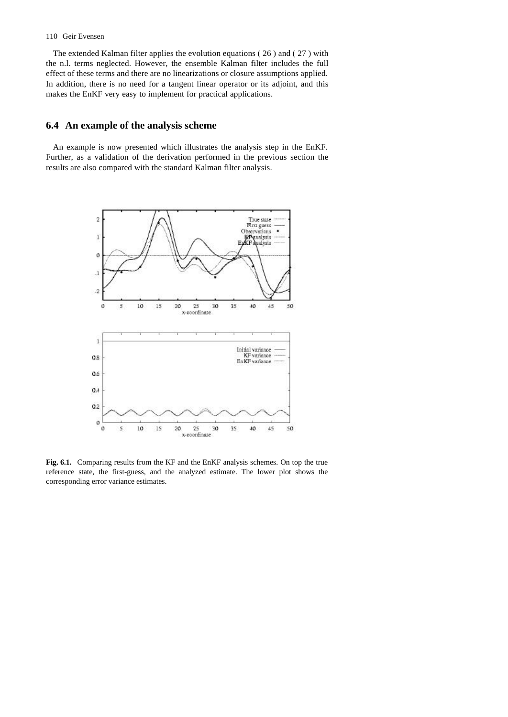The extended Kalman filter applies the evolution equations ( 26 ) and ( 27 ) with the n.l. terms neglected. However, the ensemble Kalman filter includes the full effect of these terms and there are no linearizations or closure assumptions applied. In addition, there is no need for a tangent linear operator or its adjoint, and this makes the EnKF very easy to implement for practical applications.

# **6.4 An example of the analysis scheme**

An example is now presented which illustrates the analysis step in the EnKF. Further, as a validation of the derivation performed in the previous section the results are also compared with the standard Kalman filter analysis.



**Fig. 6.1.** Comparing results from the KF and the EnKF analysis schemes. On top the true reference state, the first-guess, and the analyzed estimate. The lower plot shows the corresponding error variance estimates.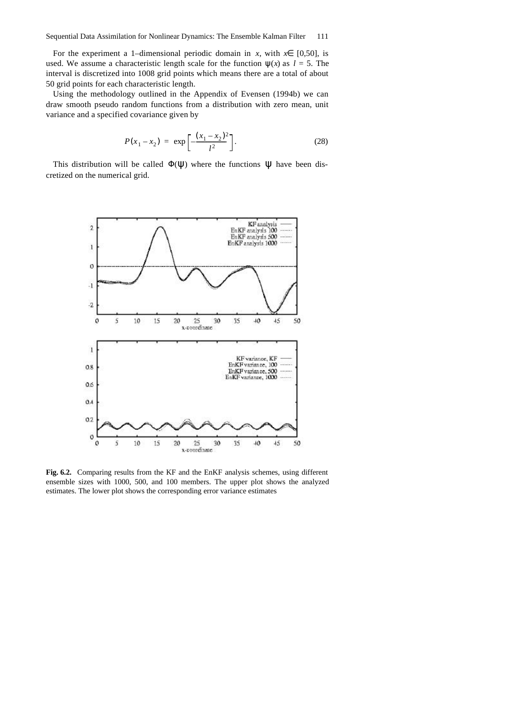For the experiment a 1–dimensional periodic domain in *x*, with  $x \in [0,50]$ , is used. We assume a characteristic length scale for the function  $\psi(x)$  as  $l = 5$ . The interval is discretized into 1008 grid points which means there are a total of about 50 grid points for each characteristic length.

Using the methodology outlined in the Appendix of Evensen (1994b) we can draw smooth pseudo random functions from a distribution with zero mean, unit variance and a specified covariance given by

$$
P(x_1 - x_2) = \exp\left[-\frac{(x_1 - x_2)^2}{l^2}\right].
$$
 (28)

This distribution will be called  $\Phi(\Psi)$  where the functions  $\Psi$  have been discretized on the numerical grid.



**Fig. 6.2.** Comparing results from the KF and the EnKF analysis schemes, using different ensemble sizes with 1000, 500, and 100 members. The upper plot shows the analyzed estimates. The lower plot shows the corresponding error variance estimates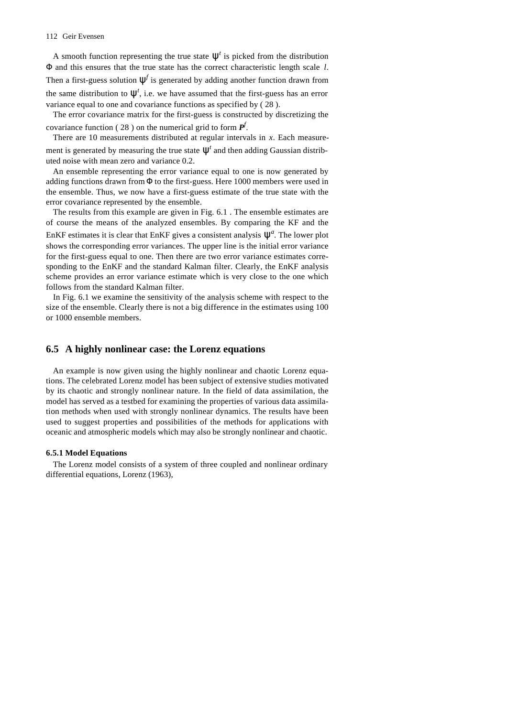A smooth function representing the true state  $\psi^t$  is picked from the distribution Φ and this ensures that the true state has the correct characteristic length scale *l*. Then a first-guess solution  $\psi^f$  is generated by adding another function drawn from the same distribution to  $\psi^t$ , i.e. we have assumed that the first-guess has an error variance equal to one and covariance functions as specified by ( 28 ).

The error covariance matrix for the first-guess is constructed by discretizing the covariance function ( 28 ) on the numerical grid to form *P f* .

There are 10 measurements distributed at regular intervals in *x*. Each measurement is generated by measuring the true state  $\psi^t$  and then adding Gaussian distributed noise with mean zero and variance 0.2.

An ensemble representing the error variance equal to one is now generated by adding functions drawn from Φ to the first-guess. Here 1000 members were used in the ensemble. Thus, we now have a first-guess estimate of the true state with the error covariance represented by the ensemble.

The results from this example are given in Fig. 6.1 . The ensemble estimates are of course the means of the analyzed ensembles. By comparing the KF and the EnKF estimates it is clear that EnKF gives a consistent analysis  $\psi^a$ . The lower plot shows the corresponding error variances. The upper line is the initial error variance for the first-guess equal to one. Then there are two error variance estimates corresponding to the EnKF and the standard Kalman filter. Clearly, the EnKF analysis scheme provides an error variance estimate which is very close to the one which follows from the standard Kalman filter.

In Fig. 6.1 we examine the sensitivity of the analysis scheme with respect to the size of the ensemble. Clearly there is not a big difference in the estimates using 100 or 1000 ensemble members.

## **6.5 A highly nonlinear case: the Lorenz equations**

An example is now given using the highly nonlinear and chaotic Lorenz equations. The celebrated Lorenz model has been subject of extensive studies motivated by its chaotic and strongly nonlinear nature. In the field of data assimilation, the model has served as a testbed for examining the properties of various data assimilation methods when used with strongly nonlinear dynamics. The results have been used to suggest properties and possibilities of the methods for applications with oceanic and atmospheric models which may also be strongly nonlinear and chaotic.

#### **6.5.1 Model Equations**

The Lorenz model consists of a system of three coupled and nonlinear ordinary differential equations, Lorenz (1963),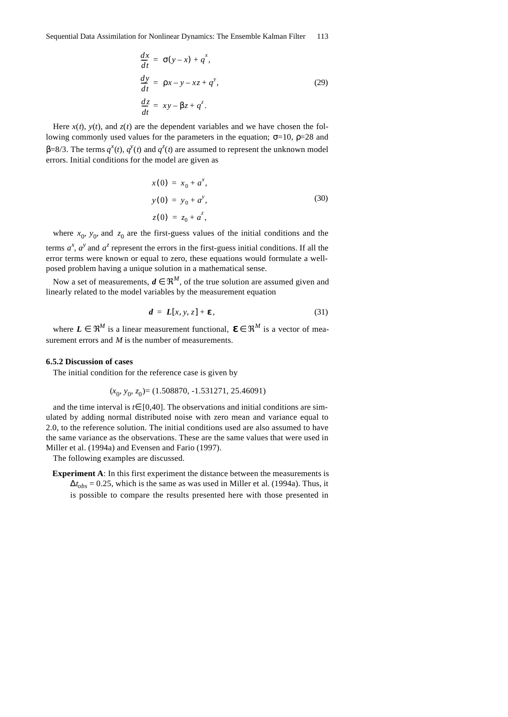$$
\frac{dx}{dt} = \sigma(y - x) + q^{x},
$$
  
\n
$$
\frac{dy}{dt} = \rho x - y - xz + q^{y},
$$
  
\n
$$
\frac{dz}{dt} = xy - \beta z + q^{z}.
$$
\n(29)

Here  $x(t)$ ,  $y(t)$ , and  $z(t)$  are the dependent variables and we have chosen the following commonly used values for the parameters in the equation;  $\sigma=10$ ,  $\rho=28$  and β=8/3. The terms  $q^x(t)$ ,  $q^y(t)$  and  $q^z(t)$  are assumed to represent the unknown model errors. Initial conditions for the model are given as

$$
x(0) = x_0 + a^x,
$$
  
\n
$$
y(0) = y_0 + a^y,
$$
  
\n
$$
z(0) = z_0 + a^z,
$$
\n(30)

where  $x_0$ ,  $y_0$ , and  $z_0$  are the first-guess values of the initial conditions and the terms  $a^x$ ,  $a^y$  and  $a^z$  represent the errors in the first-guess initial conditions. If all the error terms were known or equal to zero, these equations would formulate a wellposed problem having a unique solution in a mathematical sense.

Now a set of measurements,  $d \in \mathfrak{R}^M$ , of the true solution are assumed given and linearly related to the model variables by the measurement equation

$$
d = L[x, y, z] + \mathbf{e}, \tag{31}
$$

where  $L \in \mathbb{R}^M$  is a linear measurement functional,  $\mathbf{e} \in \mathbb{R}^M$  is a vector of measurement errors and *M* is the number of measurements.

### **6.5.2 Discussion of cases**

The initial condition for the reference case is given by

$$
(x_0, y_0, z_0) = (1.508870, -1.531271, 25.46091)
$$

and the time interval is *t*∈ [0,40]. The observations and initial conditions are simulated by adding normal distributed noise with zero mean and variance equal to 2.0, to the reference solution. The initial conditions used are also assumed to have the same variance as the observations. These are the same values that were used in Miller et al. (1994a) and Evensen and Fario (1997).

The following examples are discussed.

**Experiment A**: In this first experiment the distance between the measurements is  $\Delta t_{obs} = 0.25$ , which is the same as was used in Miller et al. (1994a). Thus, it is possible to compare the results presented here with those presented in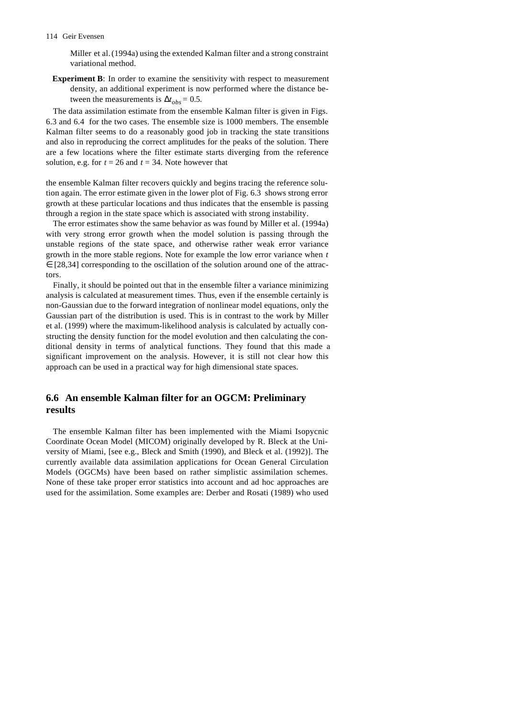Miller et al. (1994a) using the extended Kalman filter and a strong constraint variational method.

**Experiment B**: In order to examine the sensitivity with respect to measurement density, an additional experiment is now performed where the distance between the measurements is  $\Delta t_{obs} = 0.5$ .

The data assimilation estimate from the ensemble Kalman filter is given in Figs. 6.3 and 6.4 for the two cases. The ensemble size is 1000 members. The ensemble Kalman filter seems to do a reasonably good job in tracking the state transitions and also in reproducing the correct amplitudes for the peaks of the solution. There are a few locations where the filter estimate starts diverging from the reference solution, e.g. for  $t = 26$  and  $t = 34$ . Note however that

the ensemble Kalman filter recovers quickly and begins tracing the reference solution again. The error estimate given in the lower plot of Fig. 6.3 shows strong error growth at these particular locations and thus indicates that the ensemble is passing through a region in the state space which is associated with strong instability.

The error estimates show the same behavior as was found by Miller et al. (1994a) with very strong error growth when the model solution is passing through the unstable regions of the state space, and otherwise rather weak error variance growth in the more stable regions. Note for example the low error variance when *t* ∈ [28,34] corresponding to the oscillation of the solution around one of the attractors.

Finally, it should be pointed out that in the ensemble filter a variance minimizing analysis is calculated at measurement times. Thus, even if the ensemble certainly is non-Gaussian due to the forward integration of nonlinear model equations, only the Gaussian part of the distribution is used. This is in contrast to the work by Miller et al. (1999) where the maximum-likelihood analysis is calculated by actually constructing the density function for the model evolution and then calculating the conditional density in terms of analytical functions. They found that this made a significant improvement on the analysis. However, it is still not clear how this approach can be used in a practical way for high dimensional state spaces.

# **6.6 An ensemble Kalman filter for an OGCM: Preliminary results**

The ensemble Kalman filter has been implemented with the Miami Isopycnic Coordinate Ocean Model (MICOM) originally developed by R. Bleck at the University of Miami, [see e.g., Bleck and Smith (1990), and Bleck et al. (1992)]. The currently available data assimilation applications for Ocean General Circulation Models (OGCMs) have been based on rather simplistic assimilation schemes. None of these take proper error statistics into account and ad hoc approaches are used for the assimilation. Some examples are: Derber and Rosati (1989) who used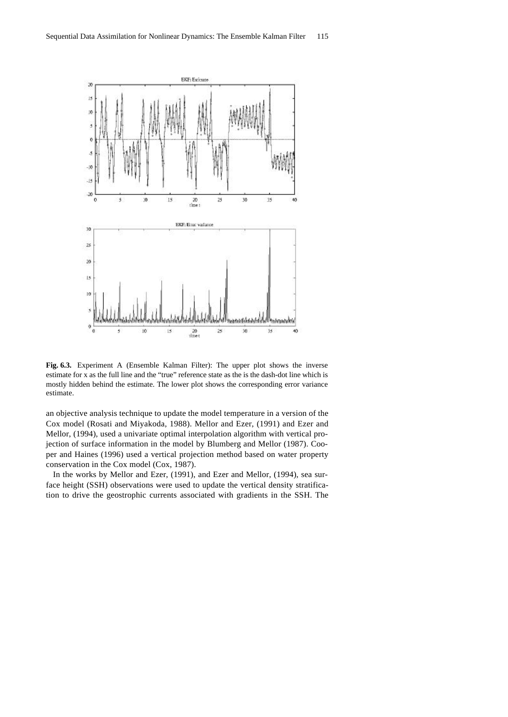

**Fig. 6.3.** Experiment A (Ensemble Kalman Filter): The upper plot shows the inverse estimate for x as the full line and the "true" reference state as the is the dash-dot line which is mostly hidden behind the estimate. The lower plot shows the corresponding error variance estimate.

an objective analysis technique to update the model temperature in a version of the Cox model (Rosati and Miyakoda, 1988). Mellor and Ezer, (1991) and Ezer and Mellor, (1994), used a univariate optimal interpolation algorithm with vertical projection of surface information in the model by Blumberg and Mellor (1987). Cooper and Haines (1996) used a vertical projection method based on water property conservation in the Cox model (Cox, 1987).

In the works by Mellor and Ezer, (1991), and Ezer and Mellor, (1994), sea surface height (SSH) observations were used to update the vertical density stratification to drive the geostrophic currents associated with gradients in the SSH. The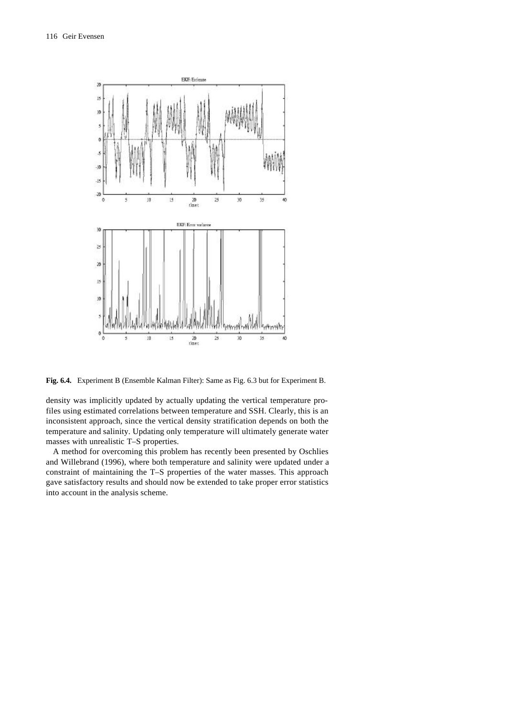

**Fig. 6.4.** Experiment B (Ensemble Kalman Filter): Same as Fig. 6.3 but for Experiment B.

density was implicitly updated by actually updating the vertical temperature profiles using estimated correlations between temperature and SSH. Clearly, this is an inconsistent approach, since the vertical density stratification depends on both the temperature and salinity. Updating only temperature will ultimately generate water masses with unrealistic T–S properties.

A method for overcoming this problem has recently been presented by Oschlies and Willebrand (1996), where both temperature and salinity were updated under a constraint of maintaining the T–S properties of the water masses. This approach gave satisfactory results and should now be extended to take proper error statistics into account in the analysis scheme.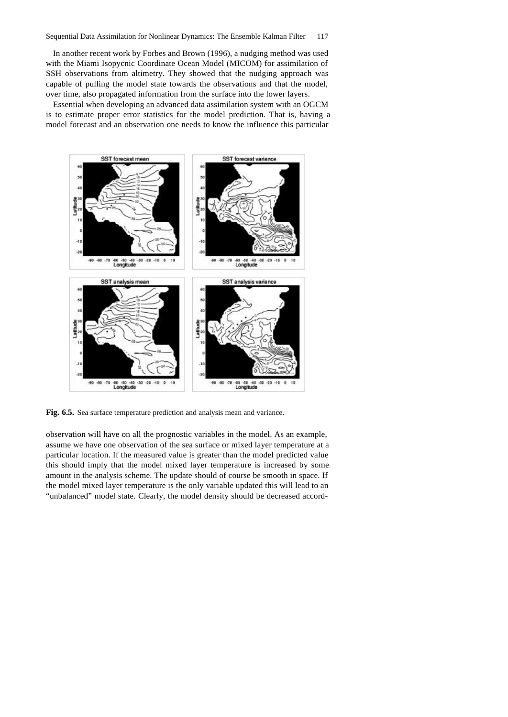In another recent work by Forbes and Brown (1996), a nudging method was used with the Miami Isopycnic Coordinate Ocean Model (MICOM) for assimilation of SSH observations from altimetry. They showed that the nudging approach was capable of pulling the model state towards the observations and that the model, over time, also propagated information from the surface into the lower layers.

Essential when developing an advanced data assimilation system with an OGCM is to estimate proper error statistics for the model prediction. That is, having a model forecast and an observation one needs to know the influence this particular



**Fig. 6.5.** Sea surface temperature prediction and analysis mean and variance.

observation will have on all the prognostic variables in the model. As an example, assume we have one observation of the sea surface or mixed layer temperature at a particular location. If the measured value is greater than the model predicted value this should imply that the model mixed layer temperature is increased by some amount in the analysis scheme. The update should of course be smooth in space. If the model mixed layer temperature is the only variable updated this will lead to an "unbalanced" model state. Clearly, the model density should be decreased accord-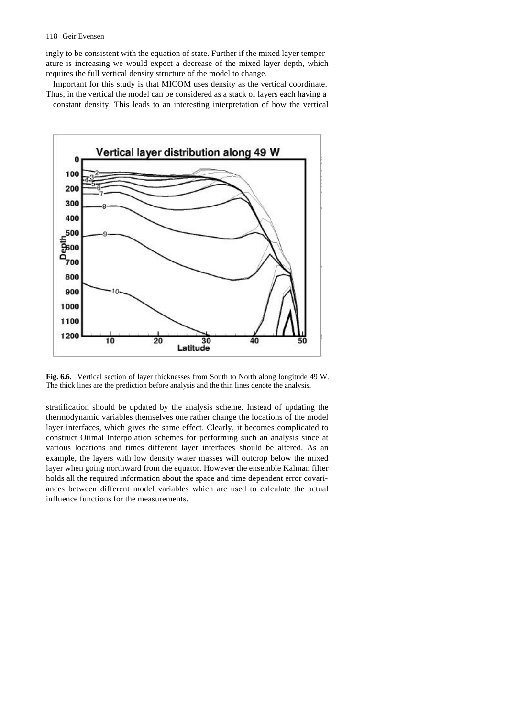ingly to be consistent with the equation of state. Further if the mixed layer temperature is increasing we would expect a decrease of the mixed layer depth, which requires the full vertical density structure of the model to change.

Important for this study is that MICOM uses density as the vertical coordinate. Thus, in the vertical the model can be considered as a stack of layers each having a constant density. This leads to an interesting interpretation of how the vertical



**Fig. 6.6.** Vertical section of layer thicknesses from South to North along longitude 49 W. The thick lines are the prediction before analysis and the thin lines denote the analysis.

stratification should be updated by the analysis scheme. Instead of updating the thermodynamic variables themselves one rather change the locations of the model layer interfaces, which gives the same effect. Clearly, it becomes complicated to construct Otimal Interpolation schemes for performing such an analysis since at various locations and times different layer interfaces should be altered. As an example, the layers with low density water masses will outcrop below the mixed layer when going northward from the equator. However the ensemble Kalman filter holds all the required information about the space and time dependent error covariances between different model variables which are used to calculate the actual influence functions for the measurements.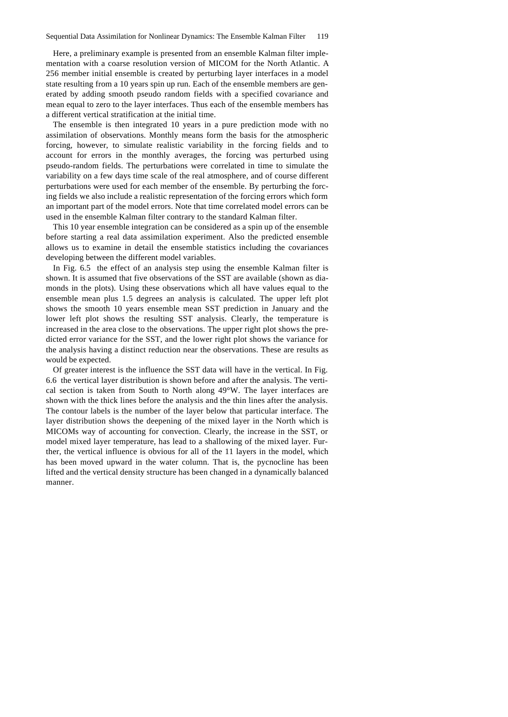Here, a preliminary example is presented from an ensemble Kalman filter implementation with a coarse resolution version of MICOM for the North Atlantic. A 256 member initial ensemble is created by perturbing layer interfaces in a model state resulting from a 10 years spin up run. Each of the ensemble members are generated by adding smooth pseudo random fields with a specified covariance and mean equal to zero to the layer interfaces. Thus each of the ensemble members has a different vertical stratification at the initial time.

The ensemble is then integrated 10 years in a pure prediction mode with no assimilation of observations. Monthly means form the basis for the atmospheric forcing, however, to simulate realistic variability in the forcing fields and to account for errors in the monthly averages, the forcing was perturbed using pseudo-random fields. The perturbations were correlated in time to simulate the variability on a few days time scale of the real atmosphere, and of course different perturbations were used for each member of the ensemble. By perturbing the forcing fields we also include a realistic representation of the forcing errors which form an important part of the model errors. Note that time correlated model errors can be used in the ensemble Kalman filter contrary to the standard Kalman filter.

This 10 year ensemble integration can be considered as a spin up of the ensemble before starting a real data assimilation experiment. Also the predicted ensemble allows us to examine in detail the ensemble statistics including the covariances developing between the different model variables.

In Fig. 6.5 the effect of an analysis step using the ensemble Kalman filter is shown. It is assumed that five observations of the SST are available (shown as diamonds in the plots). Using these observations which all have values equal to the ensemble mean plus 1.5 degrees an analysis is calculated. The upper left plot shows the smooth 10 years ensemble mean SST prediction in January and the lower left plot shows the resulting SST analysis. Clearly, the temperature is increased in the area close to the observations. The upper right plot shows the predicted error variance for the SST, and the lower right plot shows the variance for the analysis having a distinct reduction near the observations. These are results as would be expected.

Of greater interest is the influence the SST data will have in the vertical. In Fig. 6.6 the vertical layer distribution is shown before and after the analysis. The vertical section is taken from South to North along 49°W. The layer interfaces are shown with the thick lines before the analysis and the thin lines after the analysis. The contour labels is the number of the layer below that particular interface. The layer distribution shows the deepening of the mixed layer in the North which is MICOMs way of accounting for convection. Clearly, the increase in the SST, or model mixed layer temperature, has lead to a shallowing of the mixed layer. Further, the vertical influence is obvious for all of the 11 layers in the model, which has been moved upward in the water column. That is, the pycnocline has been lifted and the vertical density structure has been changed in a dynamically balanced manner.